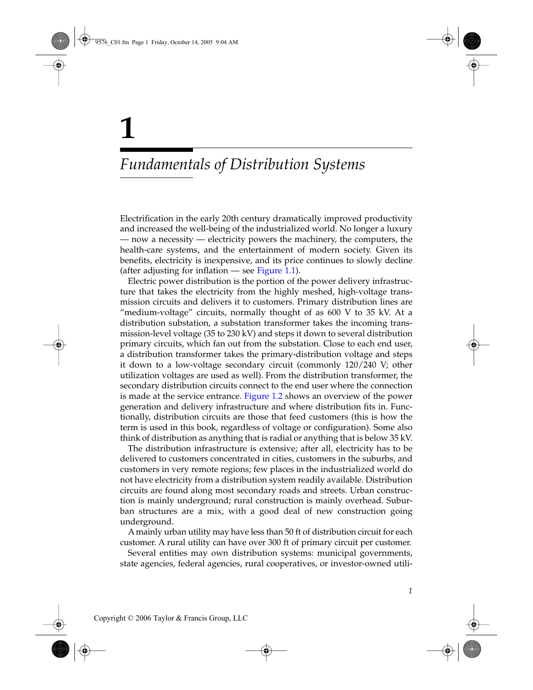# **1**

# *Fundamentals of Distribution Systems*

Electrification in the early 20th century dramatically improved productivity and increased the well-being of the industrialized world. No longer a luxury — now a necessity — electricity powers the machinery, the computers, the health-care systems, and the entertainment of modern society. Given its benefits, electricity is inexpensive, and its price continues to slowly decline (after adjusting for inflation  $-$  se[e Figure 1.1\)](#page-1-0).

Electric power distribution is the portion of the power delivery infrastructure that takes the electricity from the highly meshed, high-voltage transmission circuits and delivers it to customers. Primary distribution lines are "medium-voltage" circuits, normally thought of as 600 V to 35 kV. At a distribution substation, a substation transformer takes the incoming transmission-level voltage (35 to 230 kV) and steps it down to several distribution primary circuits, which fan out from the substation. Close to each end user, a distribution transformer takes the primary-distribution voltage and steps it down to a low-voltage secondary circuit (commonly 120/240 V; other utilization voltages are used as well). From the distribution transformer, the secondary distribution circuits connect to the end user where the connection is made at the service entrance. [Figure 1.2](#page-2-0) shows an overview of the power generation and delivery infrastructure and where distribution fits in. Functionally, distribution circuits are those that feed customers (this is how the term is used in this book, regardless of voltage or configuration). Some also think of distribution as anything that is radial or anything that is below 35 kV.

The distribution infrastructure is extensive; after all, electricity has to be delivered to customers concentrated in cities, customers in the suburbs, and customers in very remote regions; few places in the industrialized world do not have electricity from a distribution system readily available. Distribution circuits are found along most secondary roads and streets. Urban construction is mainly underground; rural construction is mainly overhead. Suburban structures are a mix, with a good deal of new construction going underground.

A mainly urban utility may have less than 50 ft of distribution circuit for each customer. A rural utility can have over 300 ft of primary circuit per customer.

Several entities may own distribution systems: municipal governments, state agencies, federal agencies, rural cooperatives, or investor-owned utili-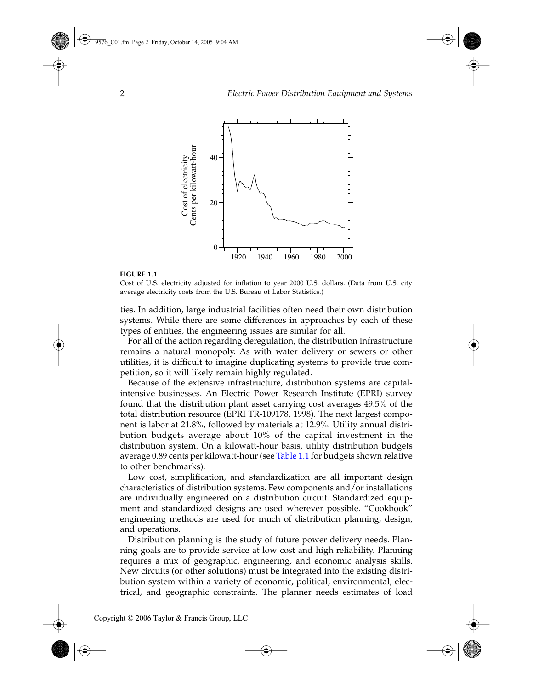<span id="page-1-0"></span>

Cost of U.S. electricity adjusted for inflation to year 2000 U.S. dollars. (Data from U.S. city average electricity costs from the U.S. Bureau of Labor Statistics.)

ties. In addition, large industrial facilities often need their own distribution systems. While there are some differences in approaches by each of these types of entities, the engineering issues are similar for all.

For all of the action regarding deregulation, the distribution infrastructure remains a natural monopoly. As with water delivery or sewers or other utilities, it is difficult to imagine duplicating systems to provide true competition, so it will likely remain highly regulated.

Because of the extensive infrastructure, distribution systems are capitalintensive businesses. An Electric Power Research Institute (EPRI) survey found that the distribution plant asset carrying cost averages 49.5% of the total distribution resource (EPRI TR-109178, 1998). The next largest component is labor at 21.8%, followed by materials at 12.9%. Utility annual distribution budgets average about 10% of the capital investment in the distribution system. On a kilowatt-hour basis, utility distribution budgets average 0.89 cents per kilowatt-hour (see [Table 1.1](#page-2-0) for budgets shown relative to other benchmarks).

Low cost, simplification, and standardization are all important design characteristics of distribution systems. Few components and/or installations are individually engineered on a distribution circuit. Standardized equipment and standardized designs are used wherever possible. "Cookbook" engineering methods are used for much of distribution planning, design, and operations.

Distribution planning is the study of future power delivery needs. Planning goals are to provide service at low cost and high reliability. Planning requires a mix of geographic, engineering, and economic analysis skills. New circuits (or other solutions) must be integrated into the existing distribution system within a variety of economic, political, environmental, electrical, and geographic constraints. The planner needs estimates of load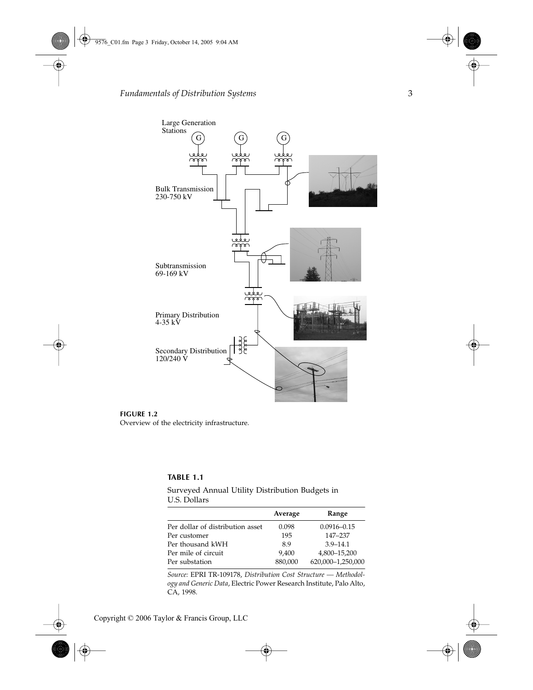<span id="page-2-0"></span>

**FIGURE 1.2** Overview of the electricity infrastructure.

# **TABLE 1.1**

Surveyed Annual Utility Distribution Budgets in U.S. Dollars

|                                  | Average | Range             |
|----------------------------------|---------|-------------------|
| Per dollar of distribution asset | 0.098   | $0.0916 - 0.15$   |
| Per customer                     | 195     | 147-237           |
| Per thousand kWH                 | 8.9     | $3.9 - 14.1$      |
| Per mile of circuit              | 9.400   | 4,800-15,200      |
| Per substation                   | 880,000 | 620,000-1,250,000 |

*Source:* EPRI TR-109178, *Distribution Cost Structure — Methodology and Generic Data*, Electric Power Research Institute, Palo Alto, CA, 1998.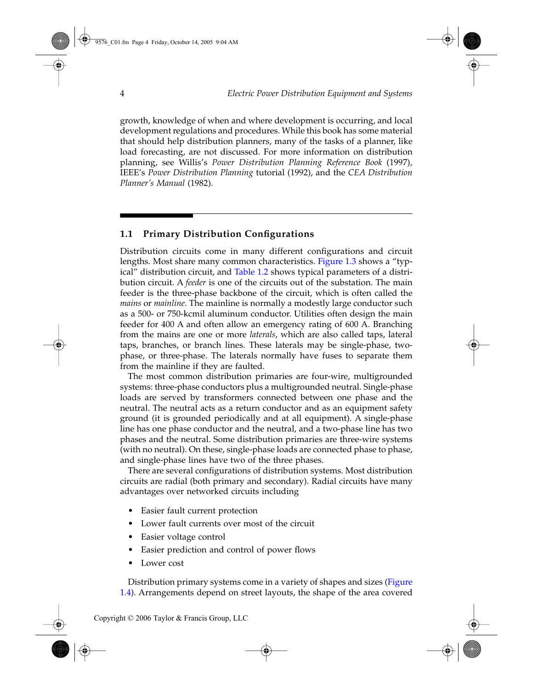growth, knowledge of when and where development is occurring, and local development regulations and procedures. While this book has some material that should help distribution planners, many of the tasks of a planner, like load forecasting, are not discussed. For more information on distribution planning, see Willis's *Power Distribution Planning Reference Book* (1997), IEEE's *Power Distribution Planning* tutorial (1992), and the *CEA Distribution Planner's Manual* (1982).

# **1.1 Primary Distribution Configurations**

Distribution circuits come in many different configurations and circuit lengths. Most share many common characteristics. [Figure 1.3](#page-4-0) shows a "typical" distribution circuit, and [Table 1.2](#page-5-0) shows typical parameters of a distribution circuit. A *feeder* is one of the circuits out of the substation. The main feeder is the three-phase backbone of the circuit, which is often called the *mains* or *mainline*. The mainline is normally a modestly large conductor such as a 500- or 750-kcmil aluminum conductor. Utilities often design the main feeder for 400 A and often allow an emergency rating of 600 A. Branching from the mains are one or more *laterals*, which are also called taps, lateral taps, branches, or branch lines. These laterals may be single-phase, twophase, or three-phase. The laterals normally have fuses to separate them from the mainline if they are faulted.

The most common distribution primaries are four-wire, multigrounded systems: three-phase conductors plus a multigrounded neutral. Single-phase loads are served by transformers connected between one phase and the neutral. The neutral acts as a return conductor and as an equipment safety ground (it is grounded periodically and at all equipment). A single-phase line has one phase conductor and the neutral, and a two-phase line has two phases and the neutral. Some distribution primaries are three-wire systems (with no neutral). On these, single-phase loads are connected phase to phase, and single-phase lines have two of the three phases.

There are several configurations of distribution systems. Most distribution circuits are radial (both primary and secondary). Radial circuits have many advantages over networked circuits including

- Easier fault current protection
- Lower fault currents over most of the circuit
- Easier voltage control
- Easier prediction and control of power flows
- Lower cost

Distribution primary systems come in a variety of shapes and sizes [\(Figure](#page-6-0) [1.4\)](#page-6-0). Arrangements depend on street layouts, the shape of the area covered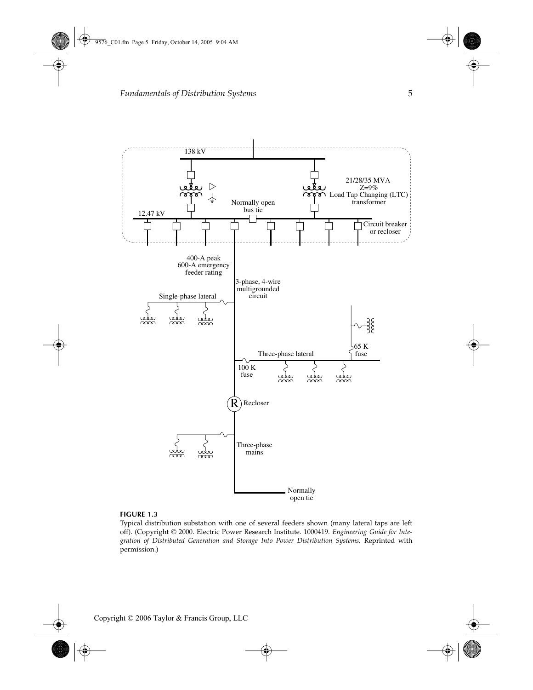<span id="page-4-0"></span>

Typical distribution substation with one of several feeders shown (many lateral taps are left off). (Copyright © 2000. Electric Power Research Institute. 1000419. *Engineering Guide for Integration of Distributed Generation and Storage Into Power Distribution Systems.* Reprinted with permission.)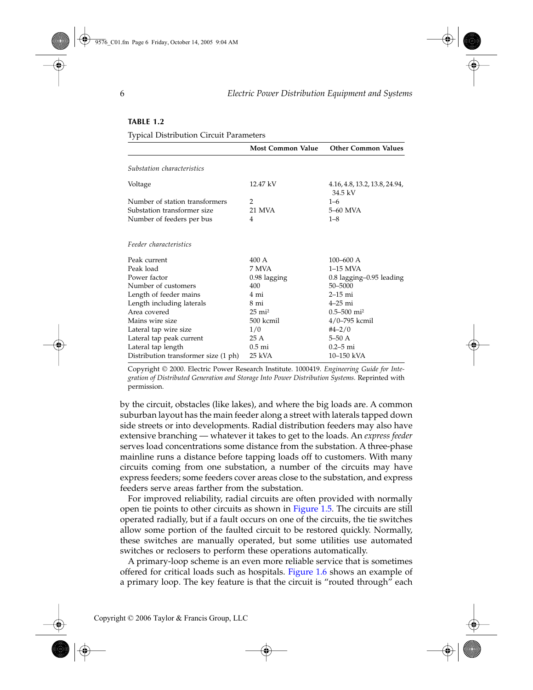|                                      | <b>Most Common Value</b> | <b>Other Common Values</b>               |  |
|--------------------------------------|--------------------------|------------------------------------------|--|
| Substation characteristics           |                          |                                          |  |
| Voltage                              | 12.47 kV                 | 4.16, 4.8, 13.2, 13.8, 24.94,<br>34.5 kV |  |
| Number of station transformers       | 2                        | $1 - 6$                                  |  |
| Substation transformer size          | 21 MVA                   | 5-60 MVA                                 |  |
| Number of feeders per bus            | 4                        | $1 - 8$                                  |  |
| Feeder characteristics               |                          |                                          |  |
| Peak current                         | $400 \text{ A}$          | $100 - 600$ A                            |  |
| Peak load                            | 7 MVA                    | $1-15$ MVA                               |  |
| Power factor                         | 0.98 lagging             | $0.8$ lagging- $0.95$ leading            |  |
| Number of customers                  | 400                      | 50-5000                                  |  |
| Length of feeder mains               | 4 mi                     | $2-15$ mi                                |  |
| Length including laterals            | 8 mi                     | $4-25$ mi                                |  |
| Area covered                         | $25 \text{ mi}^2$        | $0.5 - 500$ mi <sup>2</sup>              |  |
| Mains wire size                      | 500 kcmil                | $4/0$ –795 kcmil                         |  |
| Lateral tap wire size                | 1/0                      | $#4 - 2/0$                               |  |
| Lateral tap peak current             | 25 A                     | $5-50A$                                  |  |
| Lateral tap length                   | $0.5$ mi                 | $0.2 - 5$ mi                             |  |
| Distribution transformer size (1 ph) | 25 kVA                   | 10-150 kVA                               |  |

# <span id="page-5-0"></span>**TABLE 1.2**

Typical Distribution Circuit Parameters

Copyright © 2000. Electric Power Research Institute. 1000419. *Engineering Guide for Integration of Distributed Generation and Storage Into Power Distribution Systems.* Reprinted with permission.

by the circuit, obstacles (like lakes), and where the big loads are. A common suburban layout has the main feeder along a street with laterals tapped down side streets or into developments. Radial distribution feeders may also have extensive branching — whatever it takes to get to the loads. An *express feeder* serves load concentrations some distance from the substation. A three-phase mainline runs a distance before tapping loads off to customers. With many circuits coming from one substation, a number of the circuits may have express feeders; some feeders cover areas close to the substation, and express feeders serve areas farther from the substation.

For improved reliability, radial circuits are often provided with normally open tie points to other circuits as shown in [Figure 1.5](#page-7-0). The circuits are still operated radially, but if a fault occurs on one of the circuits, the tie switches allow some portion of the faulted circuit to be restored quickly. Normally, these switches are manually operated, but some utilities use automated switches or reclosers to perform these operations automatically.

A primary-loop scheme is an even more reliable service that is sometimes offered for critical loads such as hospitals. [Figure 1.6](#page-8-0) shows an example of a primary loop. The key feature is that the circuit is "routed through" each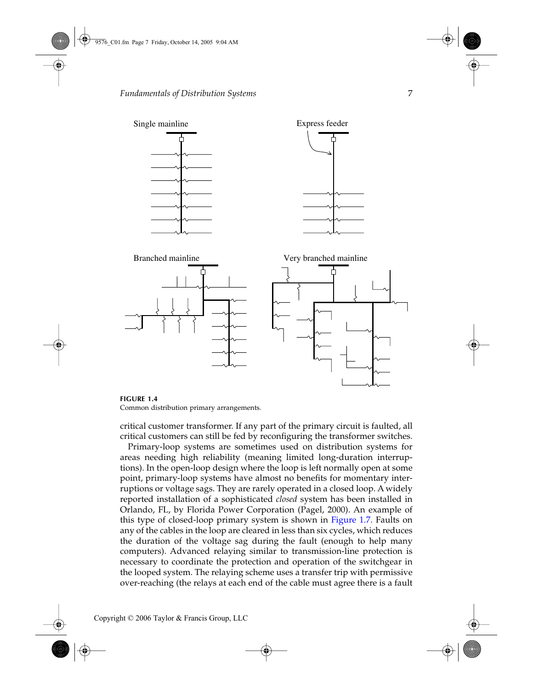<span id="page-6-0"></span>



Common distribution primary arrangements.

critical customer transformer. If any part of the primary circuit is faulted, all critical customers can still be fed by reconfiguring the transformer switches.

Primary-loop systems are sometimes used on distribution systems for areas needing high reliability (meaning limited long-duration interruptions). In the open-loop design where the loop is left normally open at some point, primary-loop systems have almost no benefits for momentary interruptions or voltage sags. They are rarely operated in a closed loop. A widely reported installation of a sophisticated *closed* system has been installed in Orlando, FL, by Florida Power Corporation (Pagel, 2000). An example of this type of closed-loop primary system is shown in [Figure 1.7.](#page-9-0) Faults on any of the cables in the loop are cleared in less than six cycles, which reduces the duration of the voltage sag during the fault (enough to help many computers). Advanced relaying similar to transmission-line protection is necessary to coordinate the protection and operation of the switchgear in the looped system. The relaying scheme uses a transfer trip with permissive over-reaching (the relays at each end of the cable must agree there is a fault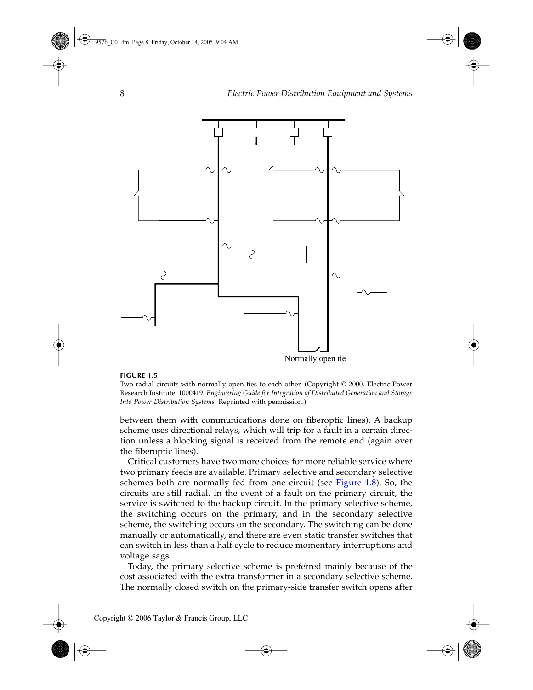<span id="page-7-0"></span>

Two radial circuits with normally open ties to each other. (Copyright © 2000. Electric Power Research Institute. 1000419. *Engineering Guide for Integration of Distributed Generation and Storage Into Power Distribution Systems.* Reprinted with permission.)

between them with communications done on fiberoptic lines). A backup scheme uses directional relays, which will trip for a fault in a certain direction unless a blocking signal is received from the remote end (again over the fiberoptic lines).

Critical customers have two more choices for more reliable service where two primary feeds are available. Primary selective and secondary selective schemes both are normally fed from one circuit (see [Figure 1.8](#page-10-0)). So, the circuits are still radial. In the event of a fault on the primary circuit, the service is switched to the backup circuit. In the primary selective scheme, the switching occurs on the primary, and in the secondary selective scheme, the switching occurs on the secondary. The switching can be done manually or automatically, and there are even static transfer switches that can switch in less than a half cycle to reduce momentary interruptions and voltage sags.

Today, the primary selective scheme is preferred mainly because of the cost associated with the extra transformer in a secondary selective scheme. The normally closed switch on the primary-side transfer switch opens after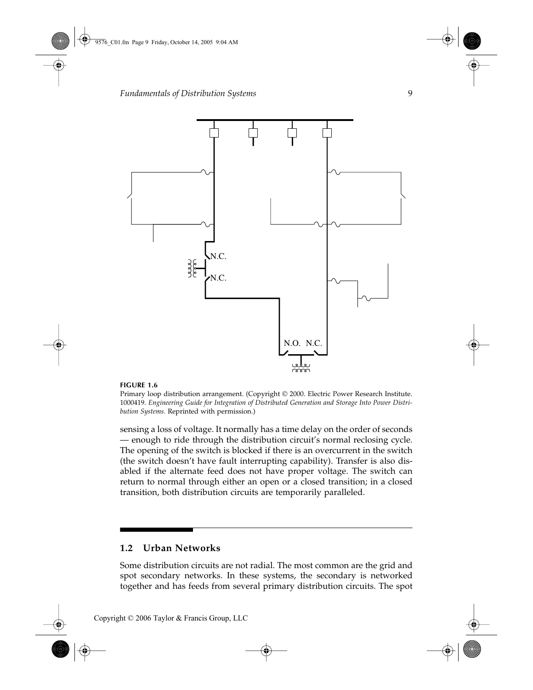<span id="page-8-0"></span>

Primary loop distribution arrangement. (Copyright © 2000. Electric Power Research Institute. 1000419. *Engineering Guide for Integration of Distributed Generation and Storage Into Power Distribution Systems.* Reprinted with permission.)

sensing a loss of voltage. It normally has a time delay on the order of seconds — enough to ride through the distribution circuit's normal reclosing cycle. The opening of the switch is blocked if there is an overcurrent in the switch (the switch doesn't have fault interrupting capability). Transfer is also disabled if the alternate feed does not have proper voltage. The switch can return to normal through either an open or a closed transition; in a closed transition, both distribution circuits are temporarily paralleled.

# **1.2 Urban Networks**

Some distribution circuits are not radial. The most common are the grid and spot secondary networks. In these systems, the secondary is networked together and has feeds from several primary distribution circuits. The spot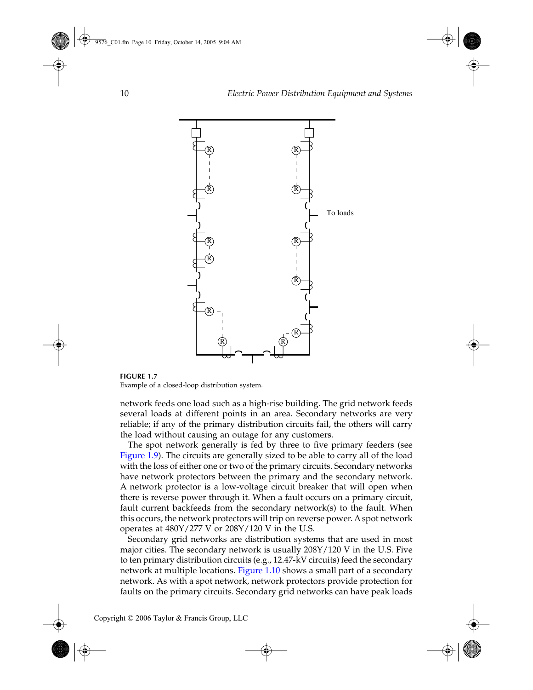<span id="page-9-0"></span>

**FIGURE 1.7** Example of a closed-loop distribution system.

network feeds one load such as a high-rise building. The grid network feeds several loads at different points in an area. Secondary networks are very reliable; if any of the primary distribution circuits fail, the others will carry the load without causing an outage for any customers.

The spot network generally is fed by three to five primary feeders (see [Figure 1.9\)](#page-11-0). The circuits are generally sized to be able to carry all of the load with the loss of either one or two of the primary circuits. Secondary networks have network protectors between the primary and the secondary network. A network protector is a low-voltage circuit breaker that will open when there is reverse power through it. When a fault occurs on a primary circuit, fault current backfeeds from the secondary network(s) to the fault. When this occurs, the network protectors will trip on reverse power. Aspot network operates at 480Y/277 V or 208Y/120 V in the U.S.

Secondary grid networks are distribution systems that are used in most major cities. The secondary network is usually 208Y/120 V in the U.S. Five to ten primary distribution circuits (e.g., 12.47-kV circuits) feed the secondary network at multiple locations. [Figure 1.10](#page-12-0) shows a small part of a secondary network. As with a spot network, network protectors provide protection for faults on the primary circuits. Secondary grid networks can have peak loads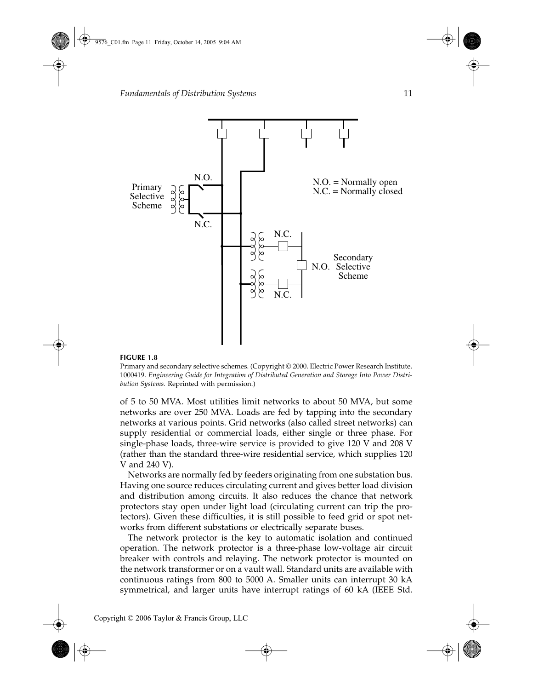<span id="page-10-0"></span>

Primary and secondary selective schemes. (Copyright © 2000. Electric Power Research Institute. 1000419. *Engineering Guide for Integration of Distributed Generation and Storage Into Power Distribution Systems.* Reprinted with permission.)

of 5 to 50 MVA. Most utilities limit networks to about 50 MVA, but some networks are over 250 MVA. Loads are fed by tapping into the secondary networks at various points. Grid networks (also called street networks) can supply residential or commercial loads, either single or three phase. For single-phase loads, three-wire service is provided to give 120 V and 208 V (rather than the standard three-wire residential service, which supplies 120 V and 240 V).

Networks are normally fed by feeders originating from one substation bus. Having one source reduces circulating current and gives better load division and distribution among circuits. It also reduces the chance that network protectors stay open under light load (circulating current can trip the protectors). Given these difficulties, it is still possible to feed grid or spot networks from different substations or electrically separate buses.

The network protector is the key to automatic isolation and continued operation. The network protector is a three-phase low-voltage air circuit breaker with controls and relaying. The network protector is mounted on the network transformer or on a vault wall. Standard units are available with continuous ratings from 800 to 5000 A. Smaller units can interrupt 30 kA symmetrical, and larger units have interrupt ratings of 60 kA (IEEE Std.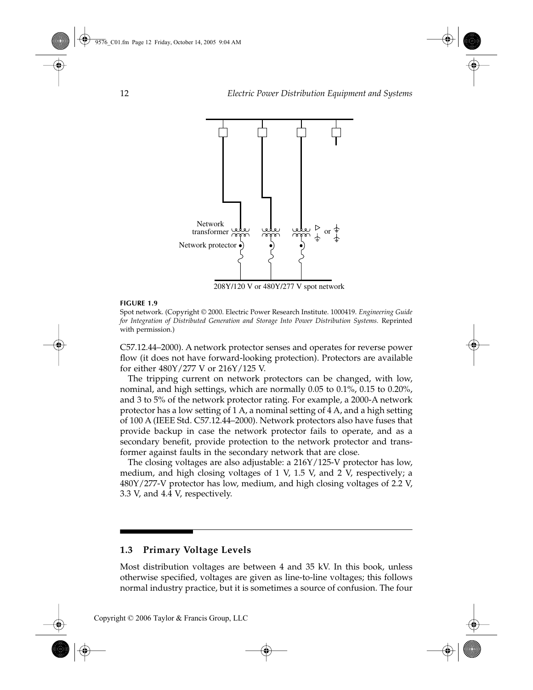<span id="page-11-0"></span>

Spot network. (Copyright © 2000. Electric Power Research Institute. 1000419. *Engineering Guide for Integration of Distributed Generation and Storage Into Power Distribution Systems.* Reprinted with permission.)

C57.12.44–2000). A network protector senses and operates for reverse power flow (it does not have forward-looking protection). Protectors are available for either 480Y/277 V or 216Y/125 V.

The tripping current on network protectors can be changed, with low, nominal, and high settings, which are normally 0.05 to 0.1%, 0.15 to 0.20%, and 3 to 5% of the network protector rating. For example, a 2000-A network protector has a low setting of 1 A, a nominal setting of 4 A, and a high setting of 100 A (IEEE Std. C57.12.44–2000). Network protectors also have fuses that provide backup in case the network protector fails to operate, and as a secondary benefit, provide protection to the network protector and transformer against faults in the secondary network that are close.

The closing voltages are also adjustable: a 216Y/125-V protector has low, medium, and high closing voltages of 1 V, 1.5 V, and 2 V, respectively; a 480Y/277-V protector has low, medium, and high closing voltages of 2.2 V, 3.3 V, and 4.4 V, respectively.

# **1.3 Primary Voltage Levels**

Most distribution voltages are between 4 and 35 kV. In this book, unless otherwise specified, voltages are given as line-to-line voltages; this follows normal industry practice, but it is sometimes a source of confusion. The four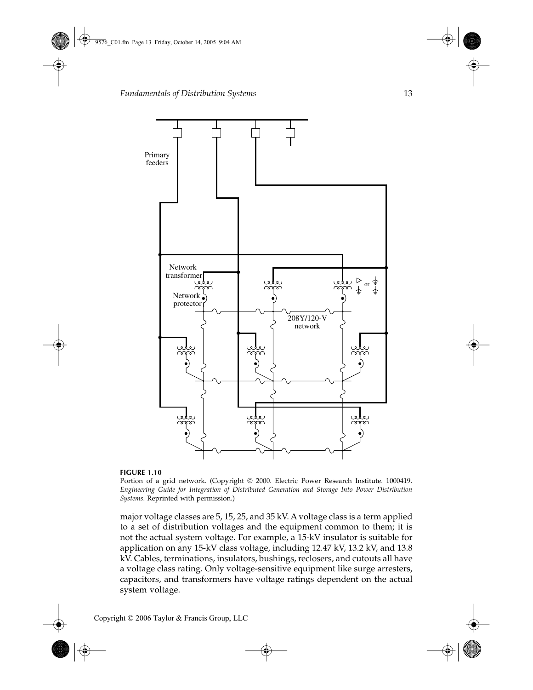<span id="page-12-0"></span>

Portion of a grid network. (Copyright © 2000. Electric Power Research Institute. 1000419. *Engineering Guide for Integration of Distributed Generation and Storage Into Power Distribution Systems.* Reprinted with permission.)

major voltage classes are 5, 15, 25, and 35 kV. A voltage class is a term applied to a set of distribution voltages and the equipment common to them; it is not the actual system voltage. For example, a 15-kV insulator is suitable for application on any 15-kV class voltage, including 12.47 kV, 13.2 kV, and 13.8 kV. Cables, terminations, insulators, bushings, reclosers, and cutouts all have a voltage class rating. Only voltage-sensitive equipment like surge arresters, capacitors, and transformers have voltage ratings dependent on the actual system voltage.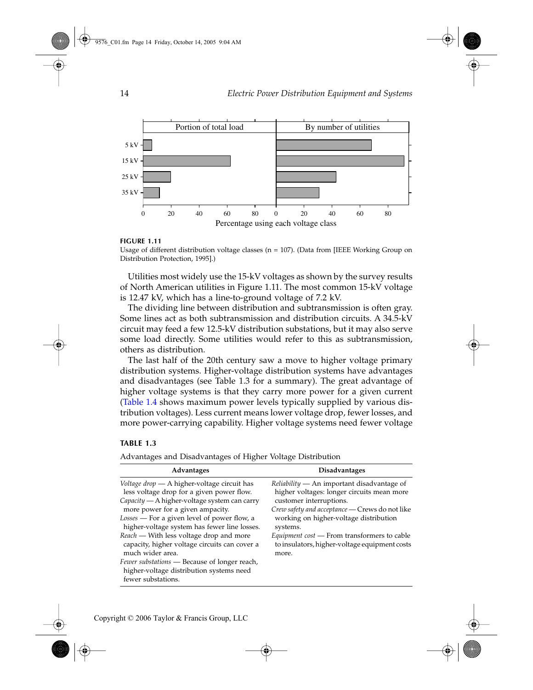<span id="page-13-0"></span>

Usage of different distribution voltage classes (n = 107). (Data from [IEEE Working Group on Distribution Protection, 1995].)

Utilities most widely use the 15-kV voltages as shown by the survey results of North American utilities in Figure 1.11. The most common 15-kV voltage is 12.47 kV, which has a line-to-ground voltage of 7.2 kV.

The dividing line between distribution and subtransmission is often gray. Some lines act as both subtransmission and distribution circuits. A 34.5-kV circuit may feed a few 12.5-kV distribution substations, but it may also serve some load directly. Some utilities would refer to this as subtransmission, others as distribution.

The last half of the 20th century saw a move to higher voltage primary distribution systems. Higher-voltage distribution systems have advantages and disadvantages (see Table 1.3 for a summary). The great advantage of higher voltage systems is that they carry more power for a given current [\(Table 1.4](#page-14-0) shows maximum power levels typically supplied by various distribution voltages). Less current means lower voltage drop, fewer losses, and more power-carrying capability. Higher voltage systems need fewer voltage

#### **TABLE 1.3**

| Advantages                                                                                                                                                                                                                                                                                                                                                                                                                                    | <b>Disadvantages</b>                                                                                                                                                                                                                                                                                                                          |  |
|-----------------------------------------------------------------------------------------------------------------------------------------------------------------------------------------------------------------------------------------------------------------------------------------------------------------------------------------------------------------------------------------------------------------------------------------------|-----------------------------------------------------------------------------------------------------------------------------------------------------------------------------------------------------------------------------------------------------------------------------------------------------------------------------------------------|--|
| Voltage drop — A higher-voltage circuit has<br>less voltage drop for a given power flow.<br>Capacity — A higher-voltage system can carry<br>more power for a given ampacity.<br>$Losses$ – For a given level of power flow, a<br>higher-voltage system has fewer line losses.<br>Reach — With less voltage drop and more<br>capacity, higher voltage circuits can cover a<br>much wider area.<br>Fewer substations — Because of longer reach, | <i>Reliability</i> — An important disadvantage of<br>higher voltages: longer circuits mean more<br>customer interruptions.<br>Crew safety and acceptance - Crews do not like<br>working on higher-voltage distribution<br>systems.<br>$Equipment cost$ – From transformers to cable<br>to insulators, higher-voltage equipment costs<br>more. |  |
| higher-voltage distribution systems need<br>fewer substations.                                                                                                                                                                                                                                                                                                                                                                                |                                                                                                                                                                                                                                                                                                                                               |  |

Advantages and Disadvantages of Higher Voltage Distribution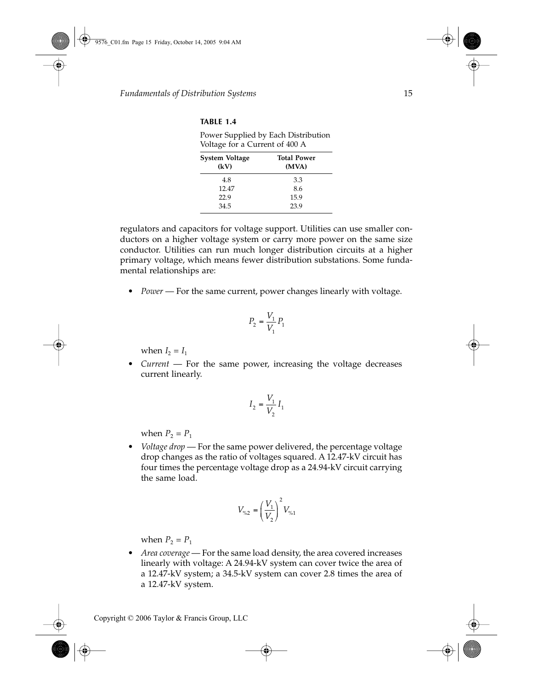# <span id="page-14-0"></span>**TABLE 1.4**

| Power Supplied by Each Distribution<br>Voltage for a Current of 400 A |                             |  |
|-----------------------------------------------------------------------|-----------------------------|--|
| <b>System Voltage</b><br>(kV)                                         | <b>Total Power</b><br>(MVA) |  |
| 4.8                                                                   | 3.3                         |  |
| 12.47                                                                 | 8.6                         |  |
| 22.9                                                                  | 15.9                        |  |
| 34.5                                                                  | 23.9                        |  |

regulators and capacitors for voltage support. Utilities can use smaller conductors on a higher voltage system or carry more power on the same size conductor. Utilities can run much longer distribution circuits at a higher primary voltage, which means fewer distribution substations. Some fundamental relationships are:

• *Power* — For the same current, power changes linearly with voltage.

$$
P_2 = \frac{V_1}{V_1} P_1
$$

when  $I_2 = I_1$ 

• *Current* — For the same power, increasing the voltage decreases current linearly.

$$
I_2 = \frac{V_1}{V_2} I_1
$$

when  $P_2 = P_1$ 

• *Voltage drop* — For the same power delivered, the percentage voltage drop changes as the ratio of voltages squared. A 12.47-kV circuit has four times the percentage voltage drop as a 24.94-kV circuit carrying the same load.

$$
V_{\%2} = \left(\frac{V_1}{V_2}\right)^2 V_{\%1}
$$

when  $P_2 = P_1$ 

• *Area coverage* — For the same load density, the area covered increases linearly with voltage: A 24.94-kV system can cover twice the area of a 12.47-kV system; a 34.5-kV system can cover 2.8 times the area of a 12.47-kV system.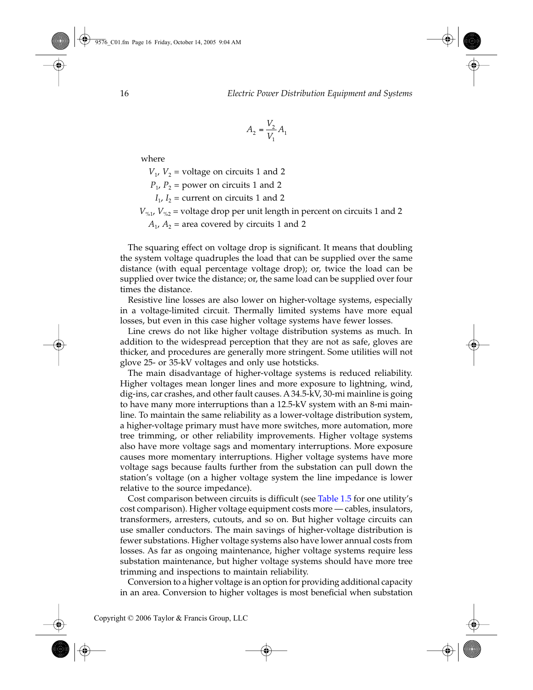$$
A_2 = \frac{V_2}{V_1} A_1
$$

where

 $V_1$ ,  $V_2$  = voltage on circuits 1 and 2

 $P_1$ ,  $P_2$  = power on circuits 1 and 2

 $I_1$ ,  $I_2$  = current on circuits 1 and 2

 $V_{\gamma_{01}}$ ,  $V_{\gamma_{02}}$  = voltage drop per unit length in percent on circuits 1 and 2

 $A_1$ ,  $A_2$  = area covered by circuits 1 and 2

The squaring effect on voltage drop is significant. It means that doubling the system voltage quadruples the load that can be supplied over the same distance (with equal percentage voltage drop); or, twice the load can be supplied over twice the distance; or, the same load can be supplied over four times the distance.

Resistive line losses are also lower on higher-voltage systems, especially in a voltage-limited circuit. Thermally limited systems have more equal losses, but even in this case higher voltage systems have fewer losses.

Line crews do not like higher voltage distribution systems as much. In addition to the widespread perception that they are not as safe, gloves are thicker, and procedures are generally more stringent. Some utilities will not glove 25- or 35-kV voltages and only use hotsticks.

The main disadvantage of higher-voltage systems is reduced reliability. Higher voltages mean longer lines and more exposure to lightning, wind, dig-ins, car crashes, and other fault causes. A34.5-kV, 30-mi mainline is going to have many more interruptions than a 12.5-kV system with an 8-mi mainline. To maintain the same reliability as a lower-voltage distribution system, a higher-voltage primary must have more switches, more automation, more tree trimming, or other reliability improvements. Higher voltage systems also have more voltage sags and momentary interruptions. More exposure causes more momentary interruptions. Higher voltage systems have more voltage sags because faults further from the substation can pull down the station's voltage (on a higher voltage system the line impedance is lower relative to the source impedance).

Cost comparison between circuits is difficult (see [Table 1.5](#page-16-0) for one utility's cost comparison). Higher voltage equipment costs more — cables, insulators, transformers, arresters, cutouts, and so on. But higher voltage circuits can use smaller conductors. The main savings of higher-voltage distribution is fewer substations. Higher voltage systems also have lower annual costs from losses. As far as ongoing maintenance, higher voltage systems require less substation maintenance, but higher voltage systems should have more tree trimming and inspections to maintain reliability.

Conversion to a higher voltage is an option for providing additional capacity in an area. Conversion to higher voltages is most beneficial when substation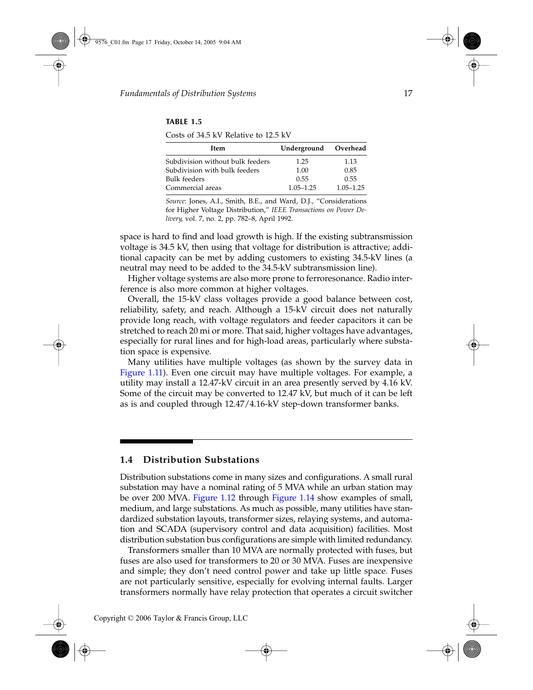### <span id="page-16-0"></span>**TABLE 1.5**

| 1.25          | 1.13                 |
|---------------|----------------------|
| 1.00          | 0.85                 |
| 0.55          | 0.55                 |
| $1.05 - 1.25$ | $1.05 - 1.25$        |
|               | Underground Overhead |

Costs of 34.5 kV Relative to 12.5 kV

*Source*: Jones, A.I., Smith, B.E., and Ward, D.J., "Considerations for Higher Voltage Distribution," *IEEE Transactions on Power Delivery*, vol. 7, no. 2, pp. 782–8, April 1992.

space is hard to find and load growth is high. If the existing subtransmission voltage is 34.5 kV, then using that voltage for distribution is attractive; additional capacity can be met by adding customers to existing 34.5-kV lines (a neutral may need to be added to the 34.5-kV subtransmission line).

Higher voltage systems are also more prone to ferroresonance. Radio interference is also more common at higher voltages.

Overall, the 15-kV class voltages provide a good balance between cost, reliability, safety, and reach. Although a 15-kV circuit does not naturally provide long reach, with voltage regulators and feeder capacitors it can be stretched to reach 20 mi or more. That said, higher voltages have advantages, especially for rural lines and for high-load areas, particularly where substation space is expensive.

Many utilities have multiple voltages (as shown by the survey data in [Figure 1.11](#page-13-0)). Even one circuit may have multiple voltages. For example, a utility may install a 12.47-kV circuit in an area presently served by 4.16 kV. Some of the circuit may be converted to 12.47 kV, but much of it can be left as is and coupled through 12.47/4.16-kV step-down transformer banks.

# **1.4 Distribution Substations**

Distribution substations come in many sizes and configurations. A small rural substation may have a nominal rating of 5 MVA while an urban station may be over 200 MVA. [Figure 1.12](#page-17-0) through [Figure 1.14](#page-18-0) show examples of small, medium, and large substations. As much as possible, many utilities have standardized substation layouts, transformer sizes, relaying systems, and automation and SCADA (supervisory control and data acquisition) facilities. Most distribution substation bus configurations are simple with limited redundancy.

Transformers smaller than 10 MVA are normally protected with fuses, but fuses are also used for transformers to 20 or 30 MVA. Fuses are inexpensive and simple; they don't need control power and take up little space. Fuses are not particularly sensitive, especially for evolving internal faults. Larger transformers normally have relay protection that operates a circuit switcher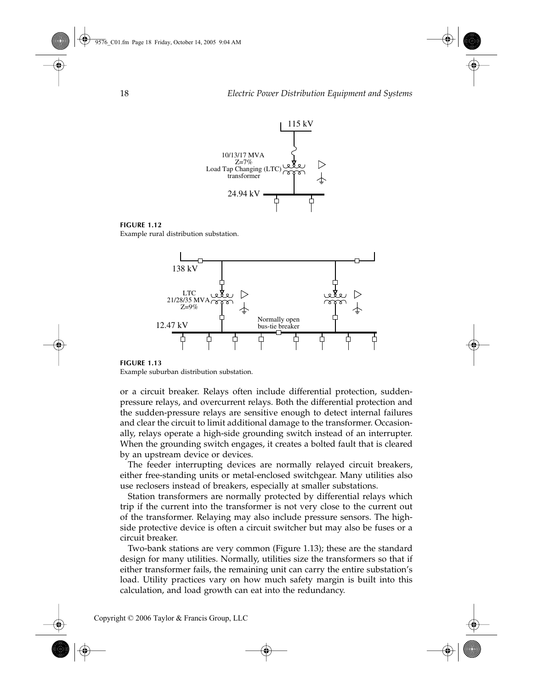<span id="page-17-0"></span>

**FIGURE 1.12** Example rural distribution substation.



Example suburban distribution substation.

or a circuit breaker. Relays often include differential protection, suddenpressure relays, and overcurrent relays. Both the differential protection and the sudden-pressure relays are sensitive enough to detect internal failures and clear the circuit to limit additional damage to the transformer. Occasionally, relays operate a high-side grounding switch instead of an interrupter. When the grounding switch engages, it creates a bolted fault that is cleared by an upstream device or devices.

The feeder interrupting devices are normally relayed circuit breakers, either free-standing units or metal-enclosed switchgear. Many utilities also use reclosers instead of breakers, especially at smaller substations.

Station transformers are normally protected by differential relays which trip if the current into the transformer is not very close to the current out of the transformer. Relaying may also include pressure sensors. The highside protective device is often a circuit switcher but may also be fuses or a circuit breaker.

Two-bank stations are very common (Figure 1.13); these are the standard design for many utilities. Normally, utilities size the transformers so that if either transformer fails, the remaining unit can carry the entire substation's load. Utility practices vary on how much safety margin is built into this calculation, and load growth can eat into the redundancy.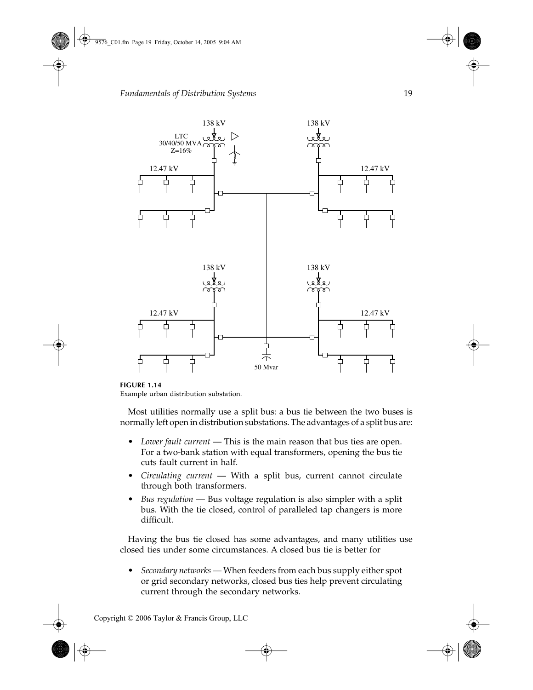<span id="page-18-0"></span>

**FIGURE 1.14** Example urban distribution substation.

Most utilities normally use a split bus: a bus tie between the two buses is normally left open in distribution substations. The advantages of a split bus are:

- *Lower fault current* This is the main reason that bus ties are open. For a two-bank station with equal transformers, opening the bus tie cuts fault current in half.
- *Circulating current* With a split bus, current cannot circulate through both transformers.
- *Bus regulation*  Bus voltage regulation is also simpler with a split bus. With the tie closed, control of paralleled tap changers is more difficult.

Having the bus tie closed has some advantages, and many utilities use closed ties under some circumstances. A closed bus tie is better for

• *Secondary networks* — When feeders from each bus supply either spot or grid secondary networks, closed bus ties help prevent circulating current through the secondary networks.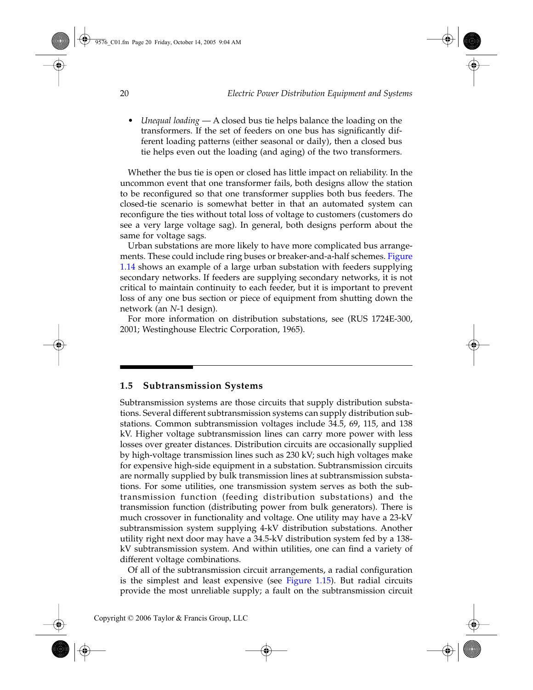• *Unequal loading* — A closed bus tie helps balance the loading on the transformers. If the set of feeders on one bus has significantly different loading patterns (either seasonal or daily), then a closed bus tie helps even out the loading (and aging) of the two transformers.

Whether the bus tie is open or closed has little impact on reliability. In the uncommon event that one transformer fails, both designs allow the station to be reconfigured so that one transformer supplies both bus feeders. The closed-tie scenario is somewhat better in that an automated system can reconfigure the ties without total loss of voltage to customers (customers do see a very large voltage sag). In general, both designs perform about the same for voltage sags.

Urban substations are more likely to have more complicated bus arrangements. These could include ring buses or breaker-and-a-half schemes[. Figure](#page-18-0) [1.14 s](#page-18-0)hows an example of a large urban substation with feeders supplying secondary networks. If feeders are supplying secondary networks, it is not critical to maintain continuity to each feeder, but it is important to prevent loss of any one bus section or piece of equipment from shutting down the network (an *N*-1 design).

For more information on distribution substations, see (RUS 1724E-300, 2001; Westinghouse Electric Corporation, 1965).

# **1.5 Subtransmission Systems**

Subtransmission systems are those circuits that supply distribution substations. Several different subtransmission systems can supply distribution substations. Common subtransmission voltages include 34.5, 69, 115, and 138 kV. Higher voltage subtransmission lines can carry more power with less losses over greater distances. Distribution circuits are occasionally supplied by high-voltage transmission lines such as 230 kV; such high voltages make for expensive high-side equipment in a substation. Subtransmission circuits are normally supplied by bulk transmission lines at subtransmission substations. For some utilities, one transmission system serves as both the subtransmission function (feeding distribution substations) and the transmission function (distributing power from bulk generators). There is much crossover in functionality and voltage. One utility may have a 23-kV subtransmission system supplying 4-kV distribution substations. Another utility right next door may have a 34.5-kV distribution system fed by a 138 kV subtransmission system. And within utilities, one can find a variety of different voltage combinations.

Of all of the subtransmission circuit arrangements, a radial configuration is the simplest and least expensive (see [Figure 1.15\)](#page-20-0). But radial circuits provide the most unreliable supply; a fault on the subtransmission circuit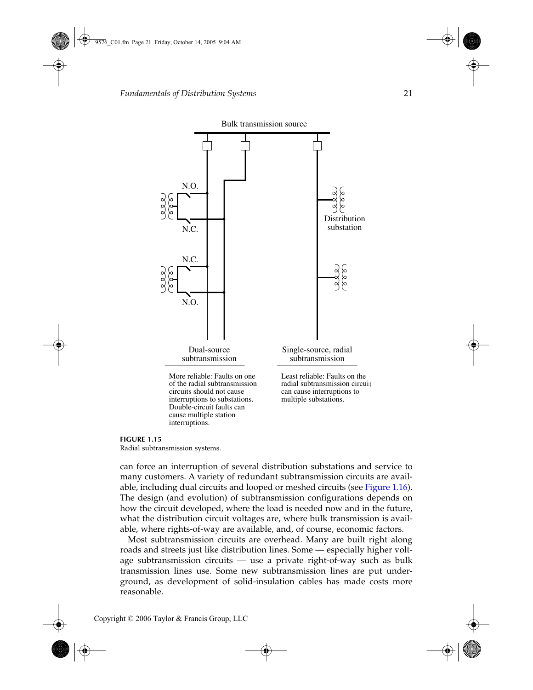<span id="page-20-0"></span>

Radial subtransmission systems.

can force an interruption of several distribution substations and service to many customers. A variety of redundant subtransmission circuits are available, including dual circuits and looped or meshed circuits (see [Figure 1.16\)](#page-21-0). The design (and evolution) of subtransmission configurations depends on how the circuit developed, where the load is needed now and in the future, what the distribution circuit voltages are, where bulk transmission is available, where rights-of-way are available, and, of course, economic factors.

Most subtransmission circuits are overhead. Many are built right along roads and streets just like distribution lines. Some — especially higher voltage subtransmission circuits — use a private right-of-way such as bulk transmission lines use. Some new subtransmission lines are put underground, as development of solid-insulation cables has made costs more reasonable.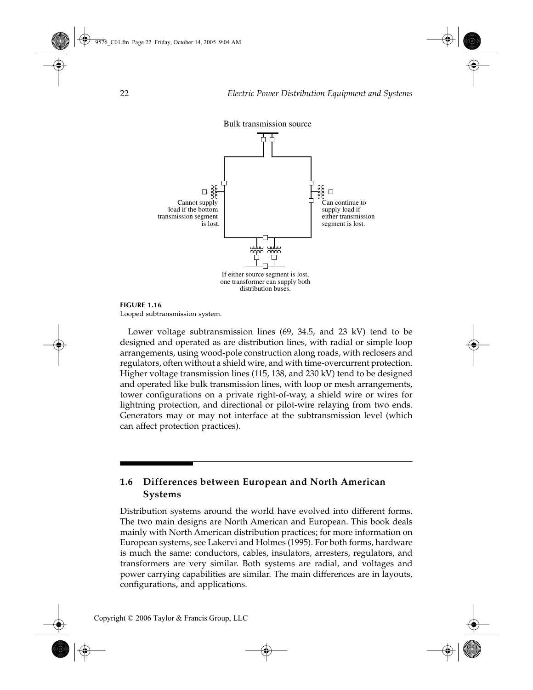<span id="page-21-0"></span>

Looped subtransmission system.

Lower voltage subtransmission lines (69, 34.5, and 23 kV) tend to be designed and operated as are distribution lines, with radial or simple loop arrangements, using wood-pole construction along roads, with reclosers and regulators, often without a shield wire, and with time-overcurrent protection. Higher voltage transmission lines (115, 138, and 230 kV) tend to be designed and operated like bulk transmission lines, with loop or mesh arrangements, tower configurations on a private right-of-way, a shield wire or wires for lightning protection, and directional or pilot-wire relaying from two ends. Generators may or may not interface at the subtransmission level (which can affect protection practices).

# **1.6 Differences between European and North American Systems**

Distribution systems around the world have evolved into different forms. The two main designs are North American and European. This book deals mainly with North American distribution practices; for more information on European systems, see Lakervi and Holmes (1995). For both forms, hardware is much the same: conductors, cables, insulators, arresters, regulators, and transformers are very similar. Both systems are radial, and voltages and power carrying capabilities are similar. The main differences are in layouts, configurations, and applications.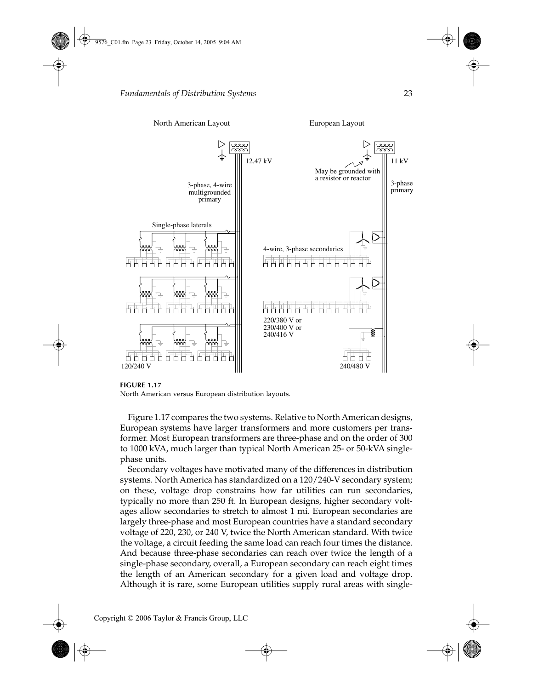

**FIGURE 1.17**

North American versus European distribution layouts.

Figure 1.17 compares the two systems. Relative to North American designs, European systems have larger transformers and more customers per transformer. Most European transformers are three-phase and on the order of 300 to 1000 kVA, much larger than typical North American 25- or 50-kVA singlephase units.

Secondary voltages have motivated many of the differences in distribution systems. North America has standardized on a 120/240-V secondary system; on these, voltage drop constrains how far utilities can run secondaries, typically no more than 250 ft. In European designs, higher secondary voltages allow secondaries to stretch to almost 1 mi. European secondaries are largely three-phase and most European countries have a standard secondary voltage of 220, 230, or 240 V, twice the North American standard. With twice the voltage, a circuit feeding the same load can reach four times the distance. And because three-phase secondaries can reach over twice the length of a single-phase secondary, overall, a European secondary can reach eight times the length of an American secondary for a given load and voltage drop. Although it is rare, some European utilities supply rural areas with single-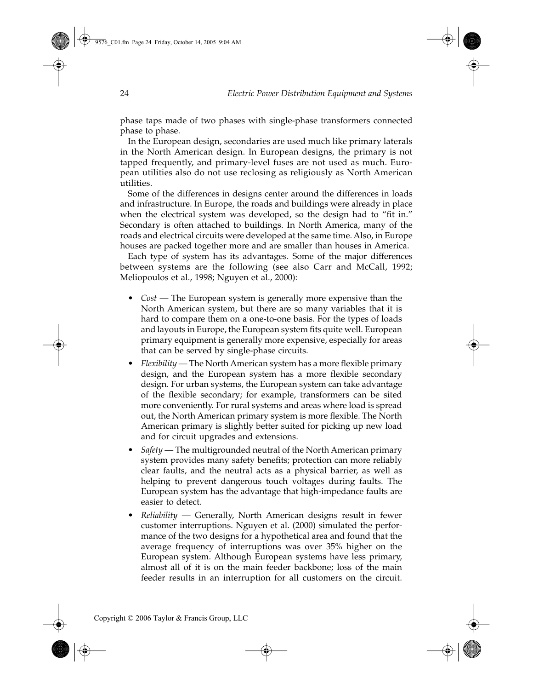phase taps made of two phases with single-phase transformers connected phase to phase.

In the European design, secondaries are used much like primary laterals in the North American design. In European designs, the primary is not tapped frequently, and primary-level fuses are not used as much. European utilities also do not use reclosing as religiously as North American utilities.

Some of the differences in designs center around the differences in loads and infrastructure. In Europe, the roads and buildings were already in place when the electrical system was developed, so the design had to "fit in." Secondary is often attached to buildings. In North America, many of the roads and electrical circuits were developed at the same time. Also, in Europe houses are packed together more and are smaller than houses in America.

Each type of system has its advantages. Some of the major differences between systems are the following (see also Carr and McCall, 1992; Meliopoulos et al., 1998; Nguyen et al., 2000):

- *Cost* The European system is generally more expensive than the North American system, but there are so many variables that it is hard to compare them on a one-to-one basis. For the types of loads and layouts in Europe, the European system fits quite well. European primary equipment is generally more expensive, especially for areas that can be served by single-phase circuits.
- *Flexibility* The North American system has a more flexible primary design, and the European system has a more flexible secondary design. For urban systems, the European system can take advantage of the flexible secondary; for example, transformers can be sited more conveniently. For rural systems and areas where load is spread out, the North American primary system is more flexible. The North American primary is slightly better suited for picking up new load and for circuit upgrades and extensions.
- *Safety* The multigrounded neutral of the North American primary system provides many safety benefits; protection can more reliably clear faults, and the neutral acts as a physical barrier, as well as helping to prevent dangerous touch voltages during faults. The European system has the advantage that high-impedance faults are easier to detect.
- *Reliability* Generally, North American designs result in fewer customer interruptions. Nguyen et al. (2000) simulated the performance of the two designs for a hypothetical area and found that the average frequency of interruptions was over 35% higher on the European system. Although European systems have less primary, almost all of it is on the main feeder backbone; loss of the main feeder results in an interruption for all customers on the circuit.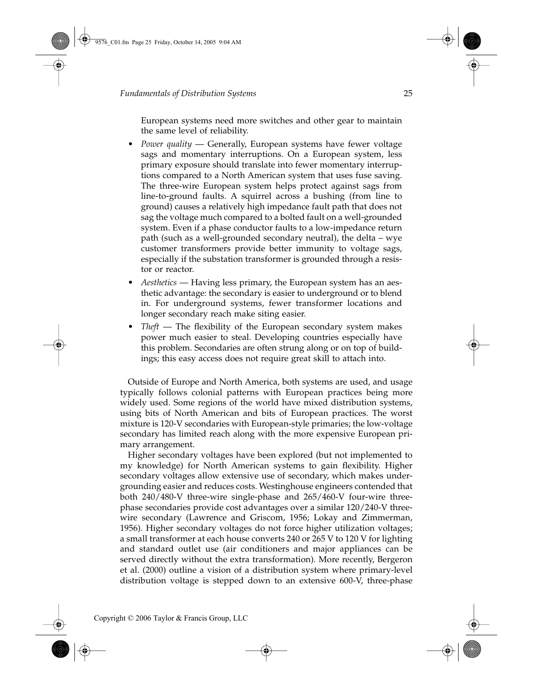European systems need more switches and other gear to maintain the same level of reliability.

- *Power quality* Generally, European systems have fewer voltage sags and momentary interruptions. On a European system, less primary exposure should translate into fewer momentary interruptions compared to a North American system that uses fuse saving. The three-wire European system helps protect against sags from line-to-ground faults. A squirrel across a bushing (from line to ground) causes a relatively high impedance fault path that does not sag the voltage much compared to a bolted fault on a well-grounded system. Even if a phase conductor faults to a low-impedance return path (such as a well-grounded secondary neutral), the delta – wye customer transformers provide better immunity to voltage sags, especially if the substation transformer is grounded through a resistor or reactor.
- *Aesthetics* Having less primary, the European system has an aesthetic advantage: the secondary is easier to underground or to blend in. For underground systems, fewer transformer locations and longer secondary reach make siting easier.
- *Theft* The flexibility of the European secondary system makes power much easier to steal. Developing countries especially have this problem. Secondaries are often strung along or on top of buildings; this easy access does not require great skill to attach into.

Outside of Europe and North America, both systems are used, and usage typically follows colonial patterns with European practices being more widely used. Some regions of the world have mixed distribution systems, using bits of North American and bits of European practices. The worst mixture is 120-V secondaries with European-style primaries; the low-voltage secondary has limited reach along with the more expensive European primary arrangement.

Higher secondary voltages have been explored (but not implemented to my knowledge) for North American systems to gain flexibility. Higher secondary voltages allow extensive use of secondary, which makes undergrounding easier and reduces costs. Westinghouse engineers contended that both 240/480-V three-wire single-phase and 265/460-V four-wire threephase secondaries provide cost advantages over a similar 120/240-V threewire secondary (Lawrence and Griscom, 1956; Lokay and Zimmerman, 1956). Higher secondary voltages do not force higher utilization voltages; a small transformer at each house converts 240 or 265 V to 120 V for lighting and standard outlet use (air conditioners and major appliances can be served directly without the extra transformation). More recently, Bergeron et al. (2000) outline a vision of a distribution system where primary-level distribution voltage is stepped down to an extensive 600-V, three-phase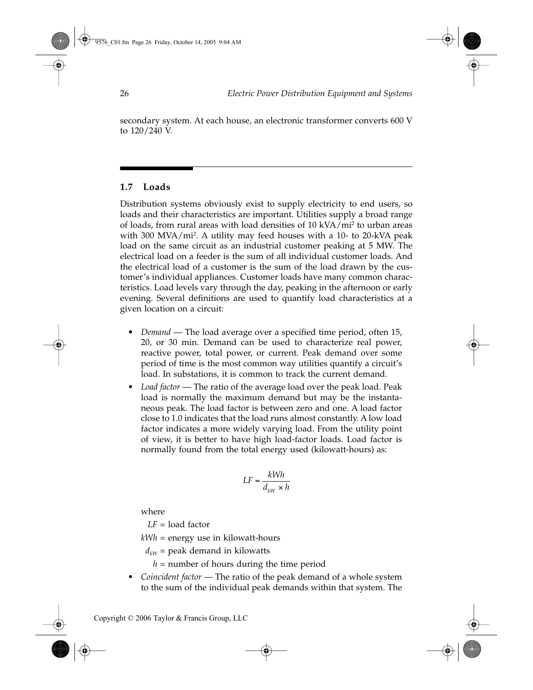secondary system. At each house, an electronic transformer converts 600 V to 120/240 V.

# **1.7 Loads**

Distribution systems obviously exist to supply electricity to end users, so loads and their characteristics are important. Utilities supply a broad range of loads, from rural areas with load densities of 10 kVA/mi2 to urban areas with 300 MVA/mi2. A utility may feed houses with a 10- to 20-kVA peak load on the same circuit as an industrial customer peaking at 5 MW. The electrical load on a feeder is the sum of all individual customer loads. And the electrical load of a customer is the sum of the load drawn by the customer's individual appliances. Customer loads have many common characteristics. Load levels vary through the day, peaking in the afternoon or early evening. Several definitions are used to quantify load characteristics at a given location on a circuit:

- *Demand* The load average over a specified time period, often 15, 20, or 30 min. Demand can be used to characterize real power, reactive power, total power, or current. Peak demand over some period of time is the most common way utilities quantify a circuit's load. In substations, it is common to track the current demand.
- *Load factor* The ratio of the average load over the peak load. Peak load is normally the maximum demand but may be the instantaneous peak. The load factor is between zero and one. A load factor close to 1.0 indicates that the load runs almost constantly. A low load factor indicates a more widely varying load. From the utility point of view, it is better to have high load-factor loads. Load factor is normally found from the total energy used (kilowatt-hours) as:

$$
LF = \frac{kWh}{d_{kw} \times h}
$$

where

*LF* = load factor

*kWh* = energy use in kilowatt-hours

 $d_{kW}$  = peak demand in kilowatts

 $h =$  number of hours during the time period

• *Coincident factor* — The ratio of the peak demand of a whole system to the sum of the individual peak demands within that system. The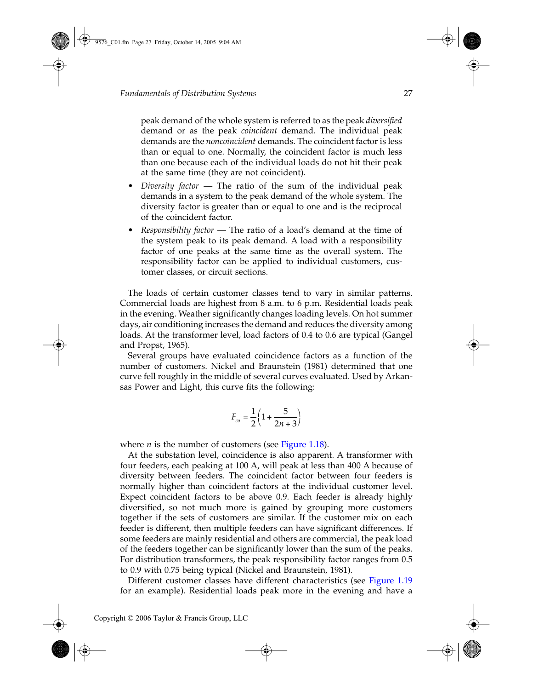peak demand of the whole system is referred to as the peak *diversified* demand or as the peak *coincident* demand. The individual peak demands are the *noncoincident* demands. The coincident factor is less than or equal to one. Normally, the coincident factor is much less than one because each of the individual loads do not hit their peak at the same time (they are not coincident).

- *Diversity factor* The ratio of the sum of the individual peak demands in a system to the peak demand of the whole system. The diversity factor is greater than or equal to one and is the reciprocal of the coincident factor.
- *Responsibility factor* The ratio of a load's demand at the time of the system peak to its peak demand. A load with a responsibility factor of one peaks at the same time as the overall system. The responsibility factor can be applied to individual customers, customer classes, or circuit sections.

The loads of certain customer classes tend to vary in similar patterns. Commercial loads are highest from 8 a.m. to 6 p.m. Residential loads peak in the evening. Weather significantly changes loading levels. On hot summer days, air conditioning increases the demand and reduces the diversity among loads. At the transformer level, load factors of 0.4 to 0.6 are typical (Gangel and Propst, 1965).

Several groups have evaluated coincidence factors as a function of the number of customers. Nickel and Braunstein (1981) determined that one curve fell roughly in the middle of several curves evaluated. Used by Arkansas Power and Light, this curve fits the following:

$$
F_{co} = \frac{1}{2} \left( 1 + \frac{5}{2n + 3} \right)
$$

where *n* is the number of customers (see [Figure 1.18\)](#page-27-0).

At the substation level, coincidence is also apparent. A transformer with four feeders, each peaking at 100 A, will peak at less than 400 A because of diversity between feeders. The coincident factor between four feeders is normally higher than coincident factors at the individual customer level. Expect coincident factors to be above 0.9. Each feeder is already highly diversified, so not much more is gained by grouping more customers together if the sets of customers are similar. If the customer mix on each feeder is different, then multiple feeders can have significant differences. If some feeders are mainly residential and others are commercial, the peak load of the feeders together can be significantly lower than the sum of the peaks. For distribution transformers, the peak responsibility factor ranges from 0.5 to 0.9 with 0.75 being typical (Nickel and Braunstein, 1981).

Different customer classes have different characteristics (see [Figure 1.19](#page-28-0) for an example). Residential loads peak more in the evening and have a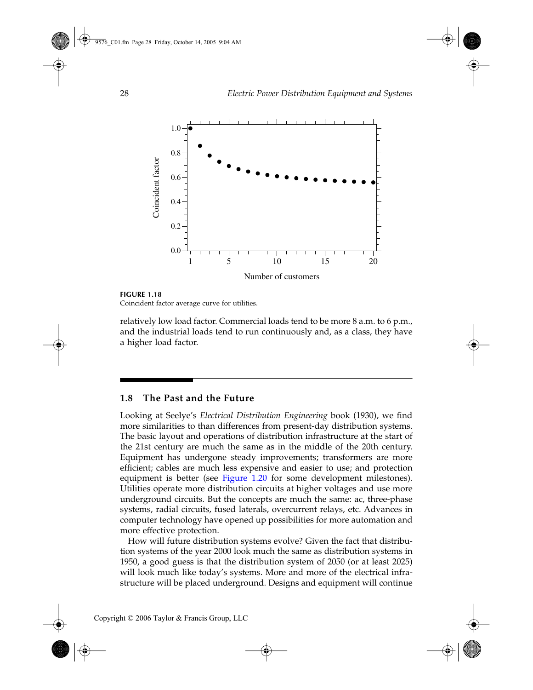<span id="page-27-0"></span>

**FIGURE 1.18** Coincident factor average curve for utilities.

relatively low load factor. Commercial loads tend to be more 8 a.m. to 6 p.m., and the industrial loads tend to run continuously and, as a class, they have a higher load factor.

# **1.8 The Past and the Future**

Looking at Seelye's *Electrical Distribution Engineering* book (1930), we find more similarities to than differences from present-day distribution systems. The basic layout and operations of distribution infrastructure at the start of the 21st century are much the same as in the middle of the 20th century. Equipment has undergone steady improvements; transformers are more efficient; cables are much less expensive and easier to use; and protection equipment is better (see [Figure 1.20](#page-29-0) for some development milestones). Utilities operate more distribution circuits at higher voltages and use more underground circuits. But the concepts are much the same: ac, three-phase systems, radial circuits, fused laterals, overcurrent relays, etc. Advances in computer technology have opened up possibilities for more automation and more effective protection.

How will future distribution systems evolve? Given the fact that distribution systems of the year 2000 look much the same as distribution systems in 1950, a good guess is that the distribution system of 2050 (or at least 2025) will look much like today's systems. More and more of the electrical infrastructure will be placed underground. Designs and equipment will continue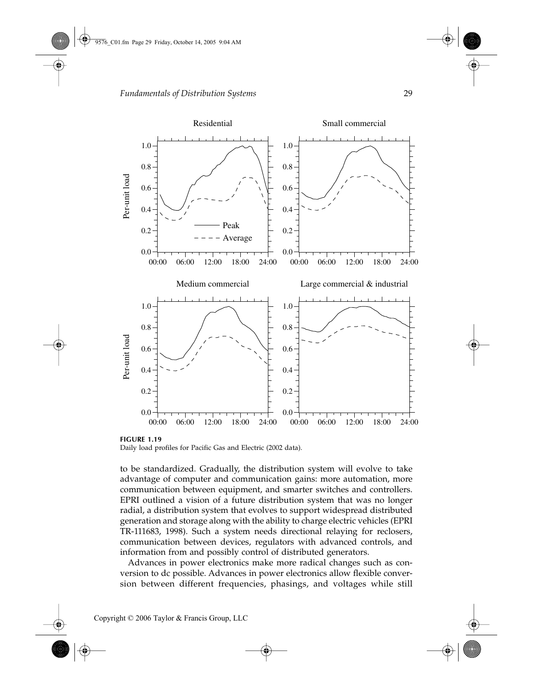<span id="page-28-0"></span>

**FIGURE 1.19** Daily load profiles for Pacific Gas and Electric (2002 data).

to be standardized. Gradually, the distribution system will evolve to take advantage of computer and communication gains: more automation, more communication between equipment, and smarter switches and controllers. EPRI outlined a vision of a future distribution system that was no longer radial, a distribution system that evolves to support widespread distributed generation and storage along with the ability to charge electric vehicles (EPRI TR-111683, 1998). Such a system needs directional relaying for reclosers, communication between devices, regulators with advanced controls, and information from and possibly control of distributed generators.

Advances in power electronics make more radical changes such as conversion to dc possible. Advances in power electronics allow flexible conversion between different frequencies, phasings, and voltages while still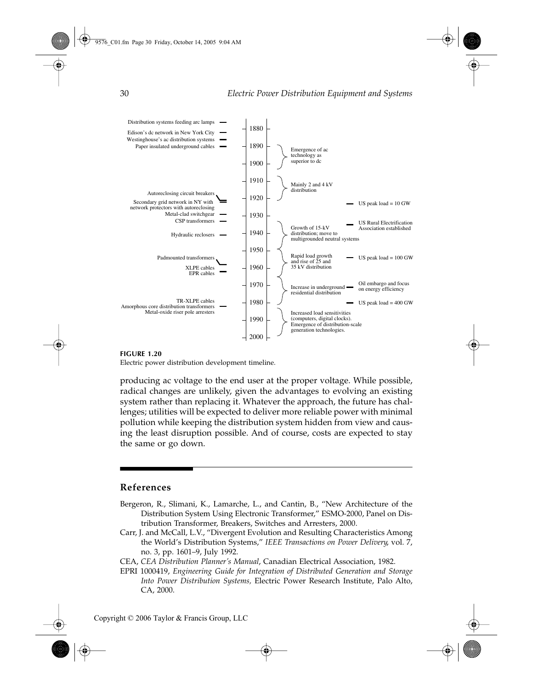<span id="page-29-0"></span>

Electric power distribution development timeline.

producing ac voltage to the end user at the proper voltage. While possible, radical changes are unlikely, given the advantages to evolving an existing system rather than replacing it. Whatever the approach, the future has challenges; utilities will be expected to deliver more reliable power with minimal pollution while keeping the distribution system hidden from view and causing the least disruption possible. And of course, costs are expected to stay the same or go down.

# **References**

- Bergeron, R., Slimani, K., Lamarche, L., and Cantin, B., "New Architecture of the Distribution System Using Electronic Transformer," ESMO-2000, Panel on Distribution Transformer, Breakers, Switches and Arresters, 2000.
- Carr, J. and McCall, L.V., "Divergent Evolution and Resulting Characteristics Among the World's Distribution Systems," *IEEE Transactions on Power Delivery*, vol. 7, no. 3, pp. 1601–9, July 1992.
- CEA, *CEA Distribution Planner's Manual*, Canadian Electrical Association, 1982.
- EPRI 1000419, *Engineering Guide for Integration of Distributed Generation and Storage Into Power Distribution Systems,* Electric Power Research Institute, Palo Alto, CA, 2000.